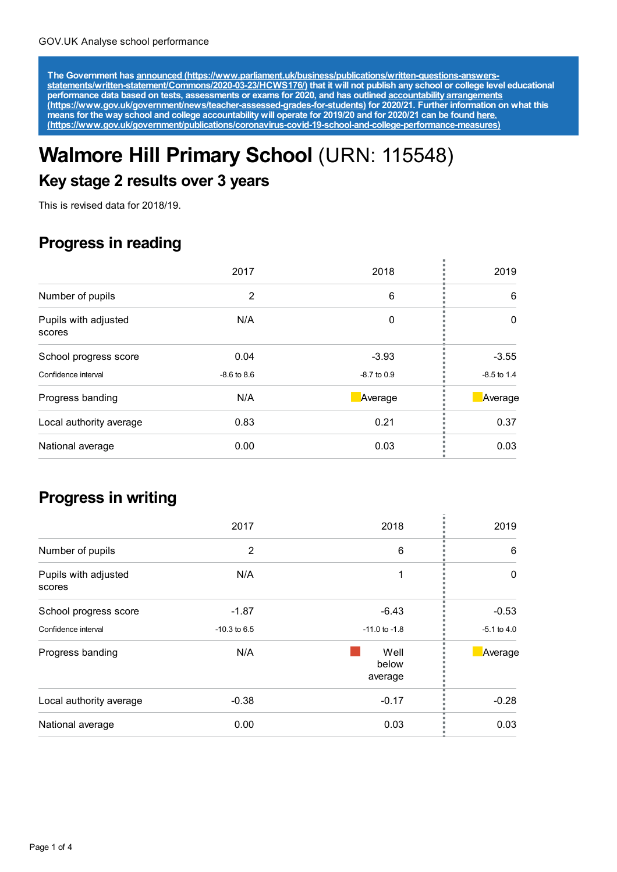The Government has announced [\(https://www.parliament.uk/business/publications/written-questions-answers-](https://www.parliament.uk/business/publications/written-questions-answers-statements/written-statement/Commons/2020-03-23/HCWS176/)<br>statements/written-statement/Commons/2020-03-23/HCWS176/) that it will not publish any school or college level educat **performance data based on tests, assessments or exams for 2020, and has outlined accountability arrangements [\(https://www.gov.uk/government/news/teacher-assessed-grades-for-students\)](https://www.gov.uk/government/news/teacher-assessed-grades-for-students) for 2020/21. Further information on what this** means for the way school and college accountability will operate for 2019/20 and for 2020/21 can be found <u>here.</u> **[\(https://www.gov.uk/government/publications/coronavirus-covid-19-school-and-college-performance-measures\)](https://www.gov.uk/government/publications/coronavirus-covid-19-school-and-college-performance-measures)**

# **Walmore Hill Primary School** (URN: 115548)

#### **Key stage 2 results over 3 years**

This is revised data for 2018/19.

### **Progress in reading**

|                                | 2017            | 2018          | 2019          |
|--------------------------------|-----------------|---------------|---------------|
| Number of pupils               | 2               | 6             | 6             |
| Pupils with adjusted<br>scores | N/A             | 0             | $\Omega$      |
| School progress score          | 0.04            | $-3.93$       | $-3.55$       |
| Confidence interval            | $-8.6$ to $8.6$ | $-8.7$ to 0.9 | $-8.5$ to 1.4 |
| Progress banding               | N/A             | Average       | Average       |
| Local authority average        | 0.83            | 0.21          | 0.37          |
| National average               | 0.00            | 0.03          | 0.03          |

#### **Progress in writing**

|                                | 2017           | 2018                     | 2019            |
|--------------------------------|----------------|--------------------------|-----------------|
| Number of pupils               | $\overline{2}$ | 6                        | 6               |
| Pupils with adjusted<br>scores | N/A            |                          | $\Omega$        |
| School progress score          | $-1.87$        | $-6.43$                  | $-0.53$         |
| Confidence interval            | $-10.3$ to 6.5 | $-11.0$ to $-1.8$        | $-5.1$ to $4.0$ |
| Progress banding               | N/A            | Well<br>below<br>average | Average         |
| Local authority average        | $-0.38$        | $-0.17$                  | $-0.28$         |
| National average               | 0.00           | 0.03                     | 0.03            |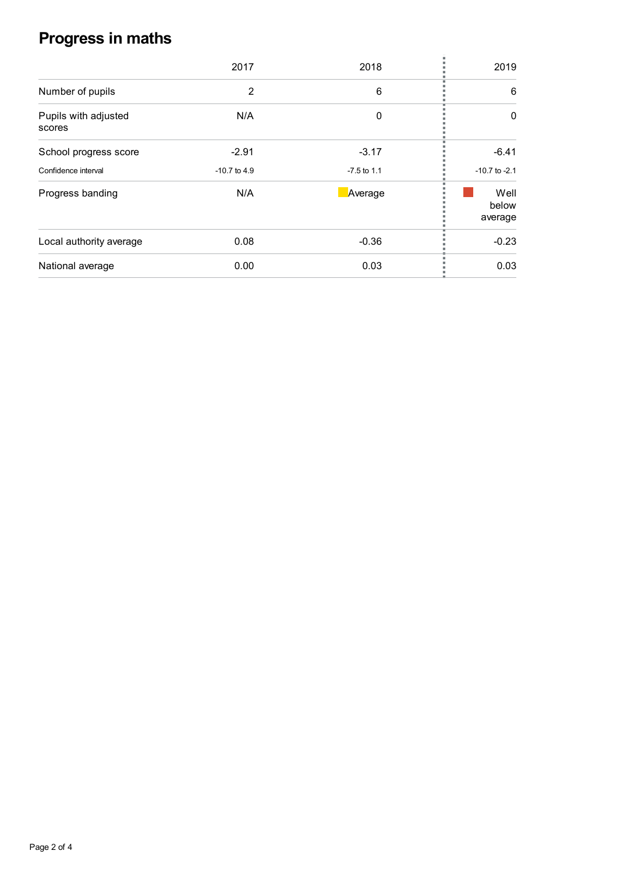## **Progress in maths**

|                                | 2017           | 2018          | 2019                     |
|--------------------------------|----------------|---------------|--------------------------|
|                                |                |               |                          |
| Number of pupils               | $\overline{2}$ | 6             | 6                        |
| Pupils with adjusted<br>scores | N/A            | 0             | 0                        |
| School progress score          | $-2.91$        | $-3.17$       | $-6.41$                  |
| Confidence interval            | $-10.7$ to 4.9 | $-7.5$ to 1.1 | $-10.7$ to $-2.1$        |
| Progress banding               | N/A            | Average       | Well<br>below<br>average |
| Local authority average        | 0.08           | $-0.36$       | $-0.23$                  |
| National average               | 0.00           | 0.03          | 0.03                     |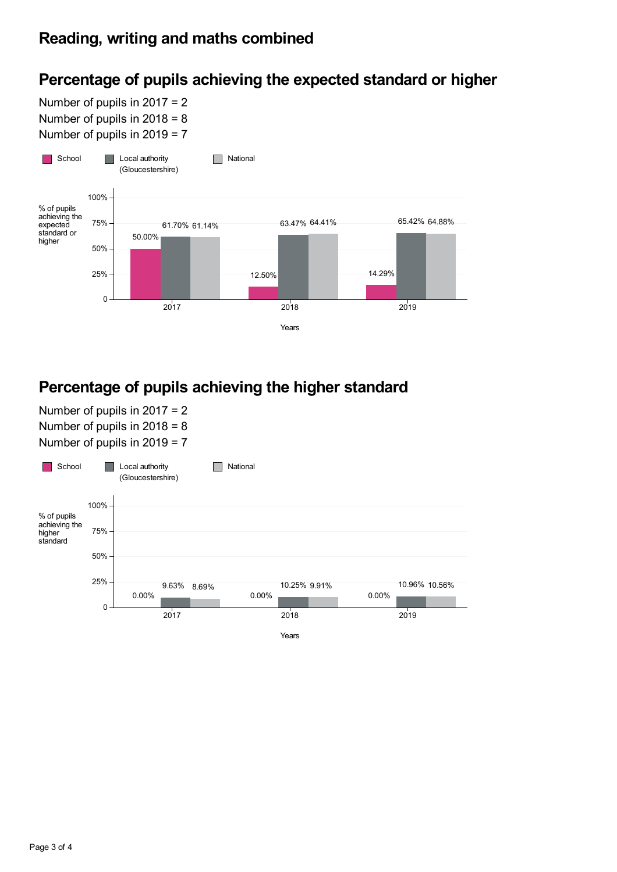## **Percentage of pupils achieving the expected standard or higher**

Number of pupils in 2017 = 2 Number of pupils in 2018 = 8 Number of pupils in 2019 = 7



## **Percentage of pupils achieving the higher standard**

Number of pupils in 2017 = 2 Number of pupils in 2018 = 8 Number of pupils in 2019 = 7